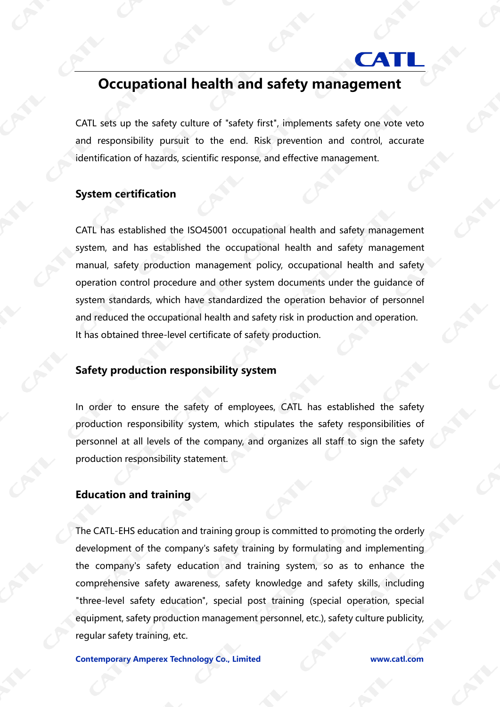# **CAT**

## **Occupational health and safety management**

CATL sets up the safety culture of "safety first", implements safety one vote veto and responsibility pursuit to the end. Risk prevention and control, accurate identification of hazards, scientific response, and effective management.

### **System certification**

CATL has established the ISO45001 occupational health and safety management system, and has established the occupational health and safety management manual, safety production management policy, occupational health and safety operation control procedure and other system documents under the guidance of system standards, which have standardized the operation behavior of personnel and reduced the occupational health and safety risk in production and operation. It has obtained three-level certificate of safety production.

#### **Safety production responsibility system**

In order to ensure the safety of employees, CATL has established the safety production responsibility system, which stipulates the safety responsibilities of personnel at all levels of the company, and organizes all staff to sign the safety production responsibility statement.

#### **Education and training**

The CATL-EHS education and training group is committed to promoting the orderly development of the company's safety training by formulating and implementing the company's safety education and training system, so as to enhance the comprehensive safety awareness, safety knowledge and safety skills, including "three-level safety education", special post training (special operation, special equipment, safety production management personnel, etc.), safety culture publicity, regular safety training, etc.

**Contemporary Amperex Technology Co., Limited www.catl.com**